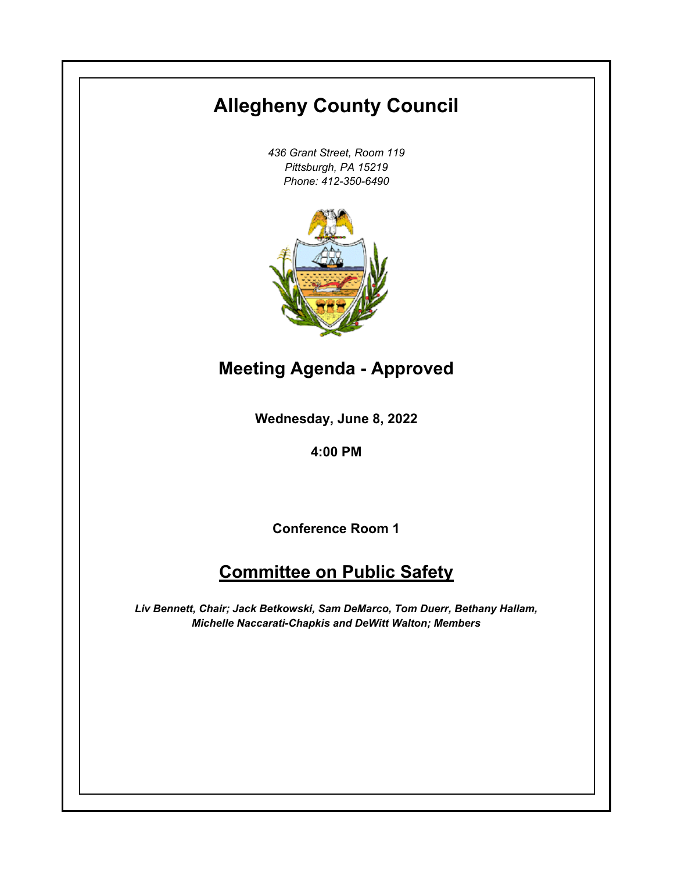# **Allegheny County Council**

*436 Grant Street, Room 119 Pittsburgh, PA 15219 Phone: 412-350-6490*



**Meeting Agenda - Approved**

**Wednesday, June 8, 2022**

**4:00 PM**

**Conference Room 1**

## **Committee on Public Safety**

*Liv Bennett, Chair; Jack Betkowski, Sam DeMarco, Tom Duerr, Bethany Hallam, Michelle Naccarati-Chapkis and DeWitt Walton; Members*